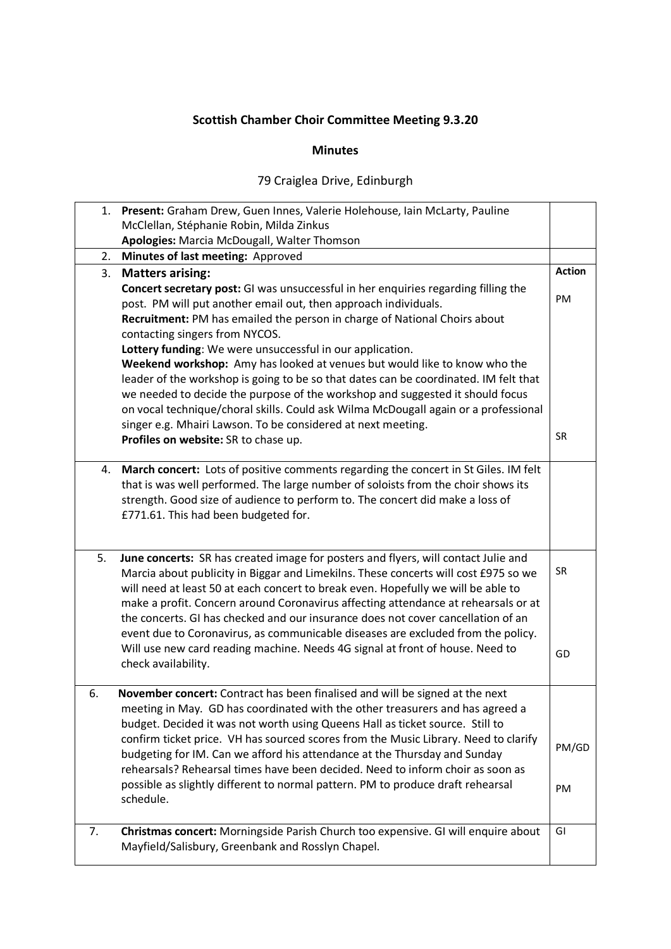## **Scottish Chamber Choir Committee Meeting 9.3.20**

## **Minutes**

## 79 Craiglea Drive, Edinburgh

| 1. | Present: Graham Drew, Guen Innes, Valerie Holehouse, Iain McLarty, Pauline                                                                                                                                                                                                                                                                                                                                                                                                                                                                                                                                                                                                                                                                                                             |                 |
|----|----------------------------------------------------------------------------------------------------------------------------------------------------------------------------------------------------------------------------------------------------------------------------------------------------------------------------------------------------------------------------------------------------------------------------------------------------------------------------------------------------------------------------------------------------------------------------------------------------------------------------------------------------------------------------------------------------------------------------------------------------------------------------------------|-----------------|
|    | McClellan, Stéphanie Robin, Milda Zinkus                                                                                                                                                                                                                                                                                                                                                                                                                                                                                                                                                                                                                                                                                                                                               |                 |
|    | Apologies: Marcia McDougall, Walter Thomson                                                                                                                                                                                                                                                                                                                                                                                                                                                                                                                                                                                                                                                                                                                                            |                 |
| 2. | Minutes of last meeting: Approved                                                                                                                                                                                                                                                                                                                                                                                                                                                                                                                                                                                                                                                                                                                                                      | <b>Action</b>   |
| 3. | <b>Matters arising:</b>                                                                                                                                                                                                                                                                                                                                                                                                                                                                                                                                                                                                                                                                                                                                                                |                 |
|    | Concert secretary post: GI was unsuccessful in her enquiries regarding filling the<br>post. PM will put another email out, then approach individuals.<br>Recruitment: PM has emailed the person in charge of National Choirs about<br>contacting singers from NYCOS.<br>Lottery funding: We were unsuccessful in our application.<br>Weekend workshop: Amy has looked at venues but would like to know who the<br>leader of the workshop is going to be so that dates can be coordinated. IM felt that<br>we needed to decide the purpose of the workshop and suggested it should focus<br>on vocal technique/choral skills. Could ask Wilma McDougall again or a professional<br>singer e.g. Mhairi Lawson. To be considered at next meeting.<br>Profiles on website: SR to chase up. | PM<br><b>SR</b> |
| 4. | March concert: Lots of positive comments regarding the concert in St Giles. IM felt<br>that is was well performed. The large number of soloists from the choir shows its<br>strength. Good size of audience to perform to. The concert did make a loss of<br>£771.61. This had been budgeted for.                                                                                                                                                                                                                                                                                                                                                                                                                                                                                      |                 |
| 5. | June concerts: SR has created image for posters and flyers, will contact Julie and<br>Marcia about publicity in Biggar and Limekilns. These concerts will cost £975 so we<br>will need at least 50 at each concert to break even. Hopefully we will be able to<br>make a profit. Concern around Coronavirus affecting attendance at rehearsals or at<br>the concerts. GI has checked and our insurance does not cover cancellation of an<br>event due to Coronavirus, as communicable diseases are excluded from the policy.<br>Will use new card reading machine. Needs 4G signal at front of house. Need to<br>check availability.                                                                                                                                                   | <b>SR</b><br>GD |
| 6. | November concert: Contract has been finalised and will be signed at the next<br>meeting in May. GD has coordinated with the other treasurers and has agreed a<br>budget. Decided it was not worth using Queens Hall as ticket source. Still to<br>confirm ticket price. VH has sourced scores from the Music Library. Need to clarify<br>budgeting for IM. Can we afford his attendance at the Thursday and Sunday<br>rehearsals? Rehearsal times have been decided. Need to inform choir as soon as<br>possible as slightly different to normal pattern. PM to produce draft rehearsal<br>schedule.                                                                                                                                                                                   | PM/GD<br>PM     |
| 7. | Christmas concert: Morningside Parish Church too expensive. GI will enquire about<br>Mayfield/Salisbury, Greenbank and Rosslyn Chapel.                                                                                                                                                                                                                                                                                                                                                                                                                                                                                                                                                                                                                                                 | GI              |